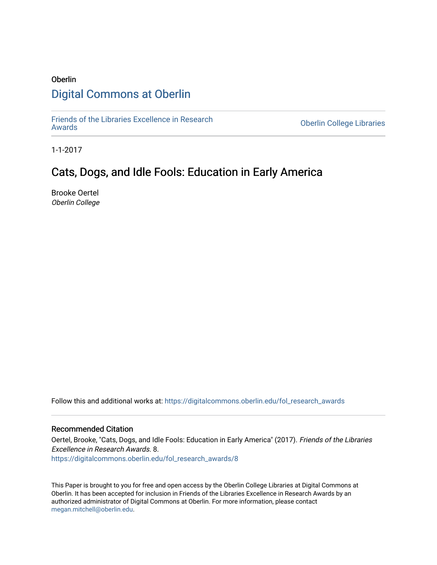# Oberlin [Digital Commons at Oberlin](https://digitalcommons.oberlin.edu/)

[Friends of the Libraries Excellence in Research](https://digitalcommons.oberlin.edu/fol_research_awards)

**Oberlin College Libraries** 

1-1-2017

## Cats, Dogs, and Idle Fools: Education in Early America

Brooke Oertel Oberlin College

Follow this and additional works at: [https://digitalcommons.oberlin.edu/fol\\_research\\_awards](https://digitalcommons.oberlin.edu/fol_research_awards?utm_source=digitalcommons.oberlin.edu%2Ffol_research_awards%2F8&utm_medium=PDF&utm_campaign=PDFCoverPages)

### Recommended Citation

Oertel, Brooke, "Cats, Dogs, and Idle Fools: Education in Early America" (2017). Friends of the Libraries Excellence in Research Awards. 8. [https://digitalcommons.oberlin.edu/fol\\_research\\_awards/8](https://digitalcommons.oberlin.edu/fol_research_awards/8?utm_source=digitalcommons.oberlin.edu%2Ffol_research_awards%2F8&utm_medium=PDF&utm_campaign=PDFCoverPages) 

This Paper is brought to you for free and open access by the Oberlin College Libraries at Digital Commons at Oberlin. It has been accepted for inclusion in Friends of the Libraries Excellence in Research Awards by an authorized administrator of Digital Commons at Oberlin. For more information, please contact [megan.mitchell@oberlin.edu](mailto:megan.mitchell@oberlin.edu).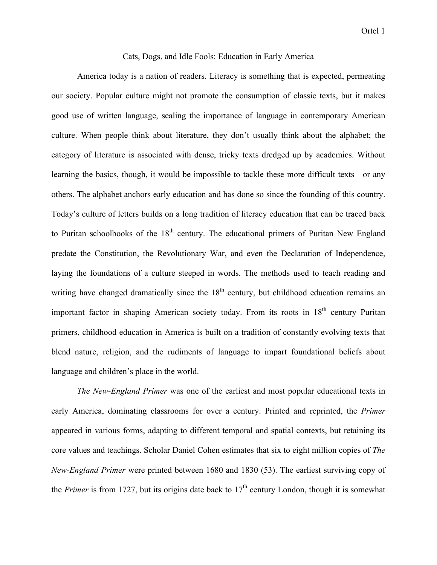#### Cats, Dogs, and Idle Fools: Education in Early America

America today is a nation of readers. Literacy is something that is expected, permeating our society. Popular culture might not promote the consumption of classic texts, but it makes good use of written language, sealing the importance of language in contemporary American culture. When people think about literature, they don't usually think about the alphabet; the category of literature is associated with dense, tricky texts dredged up by academics. Without learning the basics, though, it would be impossible to tackle these more difficult texts—or any others. The alphabet anchors early education and has done so since the founding of this country. Today's culture of letters builds on a long tradition of literacy education that can be traced back to Puritan schoolbooks of the  $18<sup>th</sup>$  century. The educational primers of Puritan New England predate the Constitution, the Revolutionary War, and even the Declaration of Independence, laying the foundations of a culture steeped in words. The methods used to teach reading and writing have changed dramatically since the  $18<sup>th</sup>$  century, but childhood education remains an important factor in shaping American society today. From its roots in 18<sup>th</sup> century Puritan primers, childhood education in America is built on a tradition of constantly evolving texts that blend nature, religion, and the rudiments of language to impart foundational beliefs about language and children's place in the world.

*The New-England Primer* was one of the earliest and most popular educational texts in early America, dominating classrooms for over a century. Printed and reprinted, the *Primer* appeared in various forms, adapting to different temporal and spatial contexts, but retaining its core values and teachings. Scholar Daniel Cohen estimates that six to eight million copies of *The New-England Primer* were printed between 1680 and 1830 (53). The earliest surviving copy of the *Primer* is from 1727, but its origins date back to 17<sup>th</sup> century London, though it is somewhat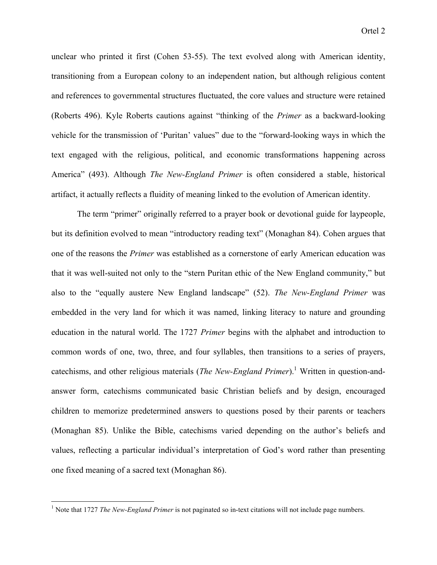unclear who printed it first (Cohen 53-55). The text evolved along with American identity, transitioning from a European colony to an independent nation, but although religious content and references to governmental structures fluctuated, the core values and structure were retained (Roberts 496). Kyle Roberts cautions against "thinking of the *Primer* as a backward-looking vehicle for the transmission of 'Puritan' values" due to the "forward-looking ways in which the text engaged with the religious, political, and economic transformations happening across America" (493). Although *The New-England Primer* is often considered a stable, historical artifact, it actually reflects a fluidity of meaning linked to the evolution of American identity.

The term "primer" originally referred to a prayer book or devotional guide for laypeople, but its definition evolved to mean "introductory reading text" (Monaghan 84). Cohen argues that one of the reasons the *Primer* was established as a cornerstone of early American education was that it was well-suited not only to the "stern Puritan ethic of the New England community," but also to the "equally austere New England landscape" (52). *The New-England Primer* was embedded in the very land for which it was named, linking literacy to nature and grounding education in the natural world. The 1727 *Primer* begins with the alphabet and introduction to common words of one, two, three, and four syllables, then transitions to a series of prayers, catechisms, and other religious materials (*The New-England Primer*). <sup>1</sup> Written in question-andanswer form, catechisms communicated basic Christian beliefs and by design, encouraged children to memorize predetermined answers to questions posed by their parents or teachers (Monaghan 85). Unlike the Bible, catechisms varied depending on the author's beliefs and values, reflecting a particular individual's interpretation of God's word rather than presenting one fixed meaning of a sacred text (Monaghan 86).

<sup>&</sup>lt;sup>1</sup> Note that 1727 *The New-England Primer* is not paginated so in-text citations will not include page numbers.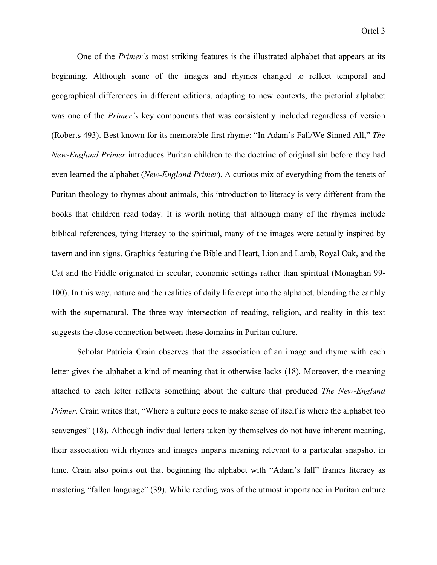One of the *Primer's* most striking features is the illustrated alphabet that appears at its beginning. Although some of the images and rhymes changed to reflect temporal and geographical differences in different editions, adapting to new contexts, the pictorial alphabet was one of the *Primer's* key components that was consistently included regardless of version (Roberts 493). Best known for its memorable first rhyme: "In Adam's Fall/We Sinned All," *The New-England Primer* introduces Puritan children to the doctrine of original sin before they had even learned the alphabet (*New-England Primer*). A curious mix of everything from the tenets of Puritan theology to rhymes about animals, this introduction to literacy is very different from the books that children read today. It is worth noting that although many of the rhymes include biblical references, tying literacy to the spiritual, many of the images were actually inspired by tavern and inn signs. Graphics featuring the Bible and Heart, Lion and Lamb, Royal Oak, and the Cat and the Fiddle originated in secular, economic settings rather than spiritual (Monaghan 99- 100). In this way, nature and the realities of daily life crept into the alphabet, blending the earthly with the supernatural. The three-way intersection of reading, religion, and reality in this text suggests the close connection between these domains in Puritan culture.

Scholar Patricia Crain observes that the association of an image and rhyme with each letter gives the alphabet a kind of meaning that it otherwise lacks (18). Moreover, the meaning attached to each letter reflects something about the culture that produced *The New-England Primer*. Crain writes that, "Where a culture goes to make sense of itself is where the alphabet too scavenges" (18). Although individual letters taken by themselves do not have inherent meaning, their association with rhymes and images imparts meaning relevant to a particular snapshot in time. Crain also points out that beginning the alphabet with "Adam's fall" frames literacy as mastering "fallen language" (39). While reading was of the utmost importance in Puritan culture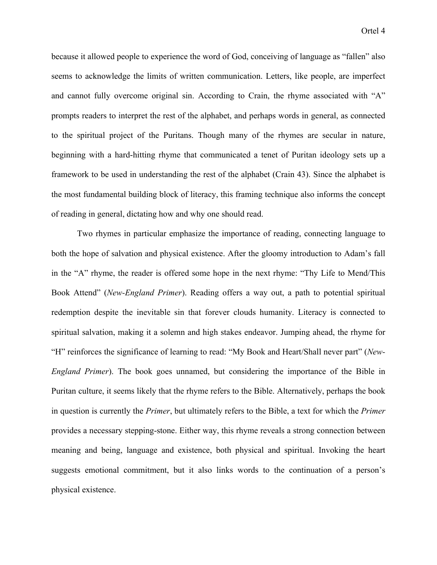because it allowed people to experience the word of God, conceiving of language as "fallen" also seems to acknowledge the limits of written communication. Letters, like people, are imperfect and cannot fully overcome original sin. According to Crain, the rhyme associated with "A" prompts readers to interpret the rest of the alphabet, and perhaps words in general, as connected to the spiritual project of the Puritans. Though many of the rhymes are secular in nature, beginning with a hard-hitting rhyme that communicated a tenet of Puritan ideology sets up a framework to be used in understanding the rest of the alphabet (Crain 43). Since the alphabet is the most fundamental building block of literacy, this framing technique also informs the concept of reading in general, dictating how and why one should read.

Two rhymes in particular emphasize the importance of reading, connecting language to both the hope of salvation and physical existence. After the gloomy introduction to Adam's fall in the "A" rhyme, the reader is offered some hope in the next rhyme: "Thy Life to Mend/This Book Attend" (*New-England Primer*). Reading offers a way out, a path to potential spiritual redemption despite the inevitable sin that forever clouds humanity. Literacy is connected to spiritual salvation, making it a solemn and high stakes endeavor. Jumping ahead, the rhyme for "H" reinforces the significance of learning to read: "My Book and Heart/Shall never part" (*New-England Primer*). The book goes unnamed, but considering the importance of the Bible in Puritan culture, it seems likely that the rhyme refers to the Bible. Alternatively, perhaps the book in question is currently the *Primer*, but ultimately refers to the Bible, a text for which the *Primer* provides a necessary stepping-stone. Either way, this rhyme reveals a strong connection between meaning and being, language and existence, both physical and spiritual. Invoking the heart suggests emotional commitment, but it also links words to the continuation of a person's physical existence.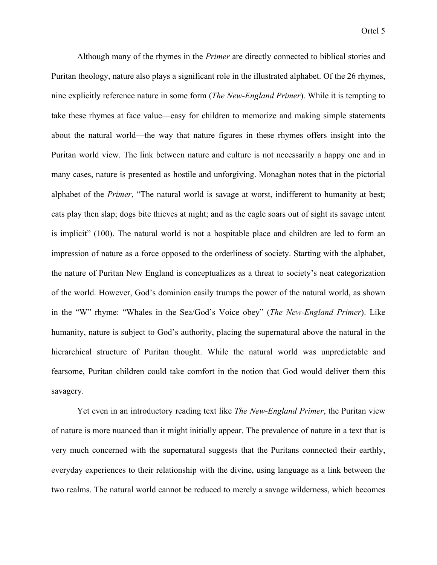Although many of the rhymes in the *Primer* are directly connected to biblical stories and Puritan theology, nature also plays a significant role in the illustrated alphabet. Of the 26 rhymes, nine explicitly reference nature in some form (*The New-England Primer*). While it is tempting to take these rhymes at face value—easy for children to memorize and making simple statements about the natural world—the way that nature figures in these rhymes offers insight into the Puritan world view. The link between nature and culture is not necessarily a happy one and in many cases, nature is presented as hostile and unforgiving. Monaghan notes that in the pictorial alphabet of the *Primer*, "The natural world is savage at worst, indifferent to humanity at best; cats play then slap; dogs bite thieves at night; and as the eagle soars out of sight its savage intent is implicit" (100). The natural world is not a hospitable place and children are led to form an impression of nature as a force opposed to the orderliness of society. Starting with the alphabet, the nature of Puritan New England is conceptualizes as a threat to society's neat categorization of the world. However, God's dominion easily trumps the power of the natural world, as shown in the "W" rhyme: "Whales in the Sea/God's Voice obey" (*The New-England Primer*). Like humanity, nature is subject to God's authority, placing the supernatural above the natural in the hierarchical structure of Puritan thought. While the natural world was unpredictable and fearsome, Puritan children could take comfort in the notion that God would deliver them this savagery.

Yet even in an introductory reading text like *The New-England Primer*, the Puritan view of nature is more nuanced than it might initially appear. The prevalence of nature in a text that is very much concerned with the supernatural suggests that the Puritans connected their earthly, everyday experiences to their relationship with the divine, using language as a link between the two realms. The natural world cannot be reduced to merely a savage wilderness, which becomes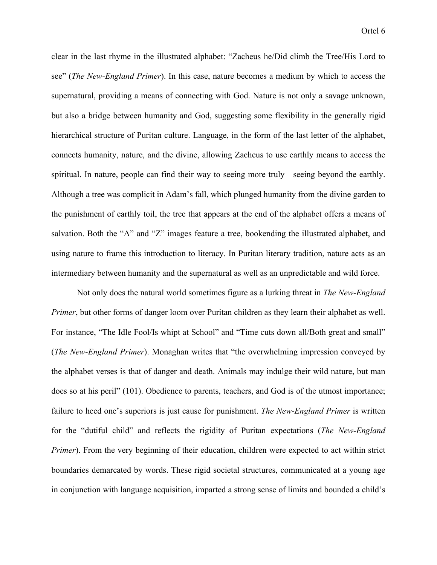clear in the last rhyme in the illustrated alphabet: "Zacheus he/Did climb the Tree/His Lord to see" (*The New-England Primer*). In this case, nature becomes a medium by which to access the supernatural, providing a means of connecting with God. Nature is not only a savage unknown, but also a bridge between humanity and God, suggesting some flexibility in the generally rigid hierarchical structure of Puritan culture. Language, in the form of the last letter of the alphabet, connects humanity, nature, and the divine, allowing Zacheus to use earthly means to access the spiritual. In nature, people can find their way to seeing more truly—seeing beyond the earthly. Although a tree was complicit in Adam's fall, which plunged humanity from the divine garden to the punishment of earthly toil, the tree that appears at the end of the alphabet offers a means of salvation. Both the "A" and "Z" images feature a tree, bookending the illustrated alphabet, and using nature to frame this introduction to literacy. In Puritan literary tradition, nature acts as an intermediary between humanity and the supernatural as well as an unpredictable and wild force.

Not only does the natural world sometimes figure as a lurking threat in *The New-England Primer*, but other forms of danger loom over Puritan children as they learn their alphabet as well. For instance, "The Idle Fool/Is whipt at School" and "Time cuts down all/Both great and small" (*The New-England Primer*). Monaghan writes that "the overwhelming impression conveyed by the alphabet verses is that of danger and death. Animals may indulge their wild nature, but man does so at his peril" (101). Obedience to parents, teachers, and God is of the utmost importance; failure to heed one's superiors is just cause for punishment. *The New-England Primer* is written for the "dutiful child" and reflects the rigidity of Puritan expectations (*The New-England Primer*). From the very beginning of their education, children were expected to act within strict boundaries demarcated by words. These rigid societal structures, communicated at a young age in conjunction with language acquisition, imparted a strong sense of limits and bounded a child's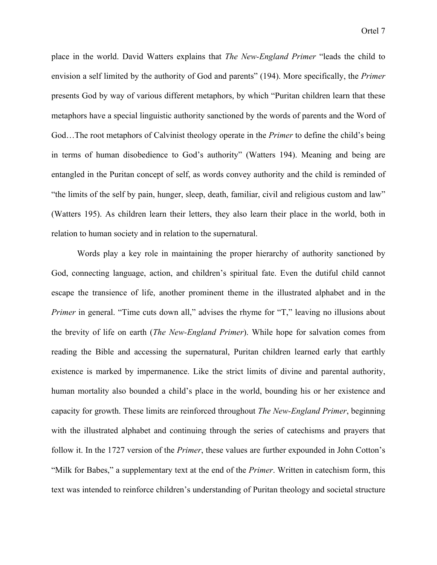place in the world. David Watters explains that *The New-England Primer* "leads the child to envision a self limited by the authority of God and parents" (194). More specifically, the *Primer* presents God by way of various different metaphors, by which "Puritan children learn that these metaphors have a special linguistic authority sanctioned by the words of parents and the Word of God…The root metaphors of Calvinist theology operate in the *Primer* to define the child's being in terms of human disobedience to God's authority" (Watters 194). Meaning and being are entangled in the Puritan concept of self, as words convey authority and the child is reminded of "the limits of the self by pain, hunger, sleep, death, familiar, civil and religious custom and law" (Watters 195). As children learn their letters, they also learn their place in the world, both in relation to human society and in relation to the supernatural.

Words play a key role in maintaining the proper hierarchy of authority sanctioned by God, connecting language, action, and children's spiritual fate. Even the dutiful child cannot escape the transience of life, another prominent theme in the illustrated alphabet and in the *Primer* in general. "Time cuts down all," advises the rhyme for "T," leaving no illusions about the brevity of life on earth (*The New-England Primer*). While hope for salvation comes from reading the Bible and accessing the supernatural, Puritan children learned early that earthly existence is marked by impermanence. Like the strict limits of divine and parental authority, human mortality also bounded a child's place in the world, bounding his or her existence and capacity for growth. These limits are reinforced throughout *The New-England Primer*, beginning with the illustrated alphabet and continuing through the series of catechisms and prayers that follow it. In the 1727 version of the *Primer*, these values are further expounded in John Cotton's "Milk for Babes," a supplementary text at the end of the *Primer*. Written in catechism form, this text was intended to reinforce children's understanding of Puritan theology and societal structure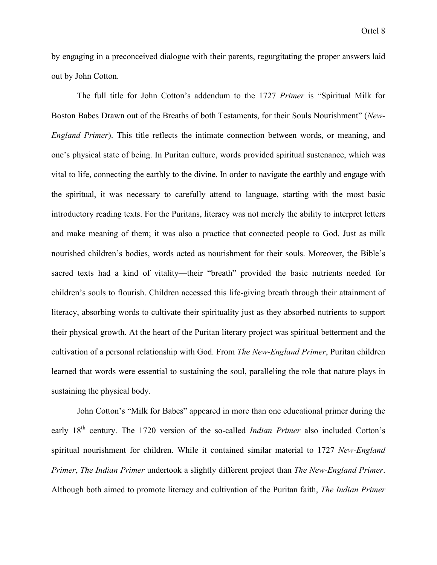by engaging in a preconceived dialogue with their parents, regurgitating the proper answers laid out by John Cotton.

The full title for John Cotton's addendum to the 1727 *Primer* is "Spiritual Milk for Boston Babes Drawn out of the Breaths of both Testaments, for their Souls Nourishment" (*New-England Primer*). This title reflects the intimate connection between words, or meaning, and one's physical state of being. In Puritan culture, words provided spiritual sustenance, which was vital to life, connecting the earthly to the divine. In order to navigate the earthly and engage with the spiritual, it was necessary to carefully attend to language, starting with the most basic introductory reading texts. For the Puritans, literacy was not merely the ability to interpret letters and make meaning of them; it was also a practice that connected people to God. Just as milk nourished children's bodies, words acted as nourishment for their souls. Moreover, the Bible's sacred texts had a kind of vitality—their "breath" provided the basic nutrients needed for children's souls to flourish. Children accessed this life-giving breath through their attainment of literacy, absorbing words to cultivate their spirituality just as they absorbed nutrients to support their physical growth. At the heart of the Puritan literary project was spiritual betterment and the cultivation of a personal relationship with God. From *The New-England Primer*, Puritan children learned that words were essential to sustaining the soul, paralleling the role that nature plays in sustaining the physical body.

John Cotton's "Milk for Babes" appeared in more than one educational primer during the early 18<sup>th</sup> century. The 1720 version of the so-called *Indian Primer* also included Cotton's spiritual nourishment for children. While it contained similar material to 1727 *New-England Primer*, *The Indian Primer* undertook a slightly different project than *The New-England Primer*. Although both aimed to promote literacy and cultivation of the Puritan faith, *The Indian Primer*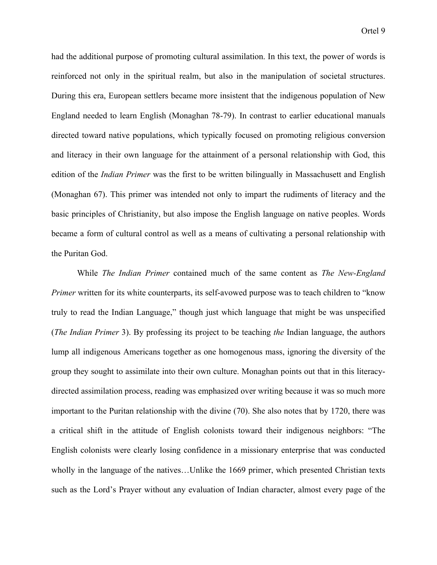had the additional purpose of promoting cultural assimilation. In this text, the power of words is reinforced not only in the spiritual realm, but also in the manipulation of societal structures. During this era, European settlers became more insistent that the indigenous population of New England needed to learn English (Monaghan 78-79). In contrast to earlier educational manuals directed toward native populations, which typically focused on promoting religious conversion and literacy in their own language for the attainment of a personal relationship with God, this edition of the *Indian Primer* was the first to be written bilingually in Massachusett and English (Monaghan 67). This primer was intended not only to impart the rudiments of literacy and the basic principles of Christianity, but also impose the English language on native peoples. Words became a form of cultural control as well as a means of cultivating a personal relationship with the Puritan God.

While *The Indian Primer* contained much of the same content as *The New-England Primer* written for its white counterparts, its self-avowed purpose was to teach children to "know" truly to read the Indian Language," though just which language that might be was unspecified (*The Indian Primer* 3). By professing its project to be teaching *the* Indian language, the authors lump all indigenous Americans together as one homogenous mass, ignoring the diversity of the group they sought to assimilate into their own culture. Monaghan points out that in this literacydirected assimilation process, reading was emphasized over writing because it was so much more important to the Puritan relationship with the divine (70). She also notes that by 1720, there was a critical shift in the attitude of English colonists toward their indigenous neighbors: "The English colonists were clearly losing confidence in a missionary enterprise that was conducted wholly in the language of the natives...Unlike the 1669 primer, which presented Christian texts such as the Lord's Prayer without any evaluation of Indian character, almost every page of the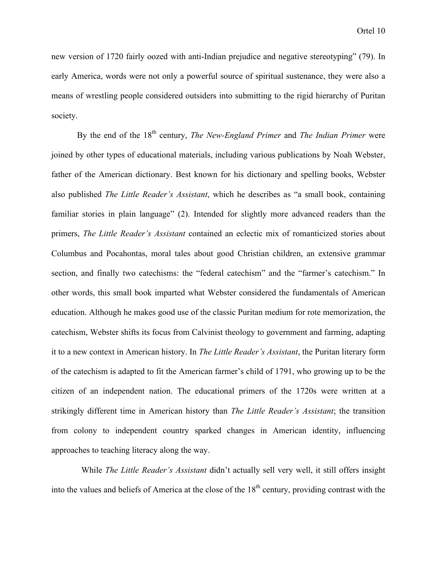new version of 1720 fairly oozed with anti-Indian prejudice and negative stereotyping" (79). In early America, words were not only a powerful source of spiritual sustenance, they were also a means of wrestling people considered outsiders into submitting to the rigid hierarchy of Puritan society.

By the end of the 18<sup>th</sup> century, *The New-England Primer* and *The Indian Primer* were joined by other types of educational materials, including various publications by Noah Webster, father of the American dictionary. Best known for his dictionary and spelling books, Webster also published *The Little Reader's Assistant*, which he describes as "a small book, containing familiar stories in plain language" (2). Intended for slightly more advanced readers than the primers, *The Little Reader's Assistant* contained an eclectic mix of romanticized stories about Columbus and Pocahontas, moral tales about good Christian children, an extensive grammar section, and finally two catechisms: the "federal catechism" and the "farmer's catechism." In other words, this small book imparted what Webster considered the fundamentals of American education. Although he makes good use of the classic Puritan medium for rote memorization, the catechism, Webster shifts its focus from Calvinist theology to government and farming, adapting it to a new context in American history. In *The Little Reader's Assistant*, the Puritan literary form of the catechism is adapted to fit the American farmer's child of 1791, who growing up to be the citizen of an independent nation. The educational primers of the 1720s were written at a strikingly different time in American history than *The Little Reader's Assistant*; the transition from colony to independent country sparked changes in American identity, influencing approaches to teaching literacy along the way.

 While *The Little Reader's Assistant* didn't actually sell very well, it still offers insight into the values and beliefs of America at the close of the  $18<sup>th</sup>$  century, providing contrast with the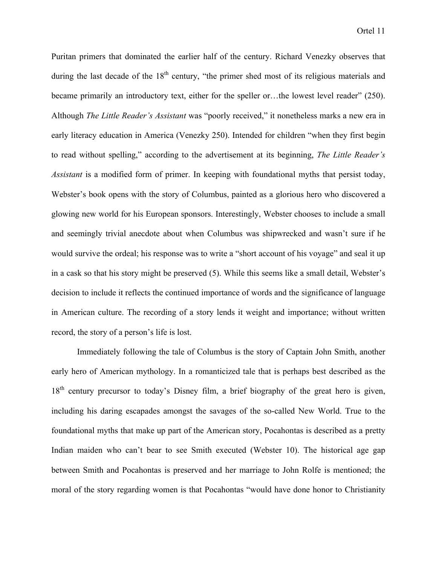Puritan primers that dominated the earlier half of the century. Richard Venezky observes that during the last decade of the  $18<sup>th</sup>$  century, "the primer shed most of its religious materials and became primarily an introductory text, either for the speller or…the lowest level reader" (250). Although *The Little Reader's Assistant* was "poorly received," it nonetheless marks a new era in early literacy education in America (Venezky 250). Intended for children "when they first begin to read without spelling," according to the advertisement at its beginning, *The Little Reader's Assistant* is a modified form of primer. In keeping with foundational myths that persist today, Webster's book opens with the story of Columbus, painted as a glorious hero who discovered a glowing new world for his European sponsors. Interestingly, Webster chooses to include a small and seemingly trivial anecdote about when Columbus was shipwrecked and wasn't sure if he would survive the ordeal; his response was to write a "short account of his voyage" and seal it up in a cask so that his story might be preserved (5). While this seems like a small detail, Webster's decision to include it reflects the continued importance of words and the significance of language in American culture. The recording of a story lends it weight and importance; without written record, the story of a person's life is lost.

Immediately following the tale of Columbus is the story of Captain John Smith, another early hero of American mythology. In a romanticized tale that is perhaps best described as the 18<sup>th</sup> century precursor to today's Disney film, a brief biography of the great hero is given, including his daring escapades amongst the savages of the so-called New World. True to the foundational myths that make up part of the American story, Pocahontas is described as a pretty Indian maiden who can't bear to see Smith executed (Webster 10). The historical age gap between Smith and Pocahontas is preserved and her marriage to John Rolfe is mentioned; the moral of the story regarding women is that Pocahontas "would have done honor to Christianity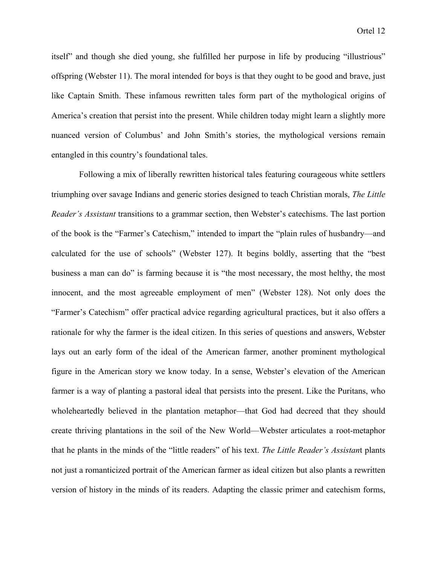itself" and though she died young, she fulfilled her purpose in life by producing "illustrious" offspring (Webster 11). The moral intended for boys is that they ought to be good and brave, just like Captain Smith. These infamous rewritten tales form part of the mythological origins of America's creation that persist into the present. While children today might learn a slightly more nuanced version of Columbus' and John Smith's stories, the mythological versions remain entangled in this country's foundational tales.

Following a mix of liberally rewritten historical tales featuring courageous white settlers triumphing over savage Indians and generic stories designed to teach Christian morals, *The Little Reader's Assistant* transitions to a grammar section, then Webster's catechisms. The last portion of the book is the "Farmer's Catechism," intended to impart the "plain rules of husbandry—and calculated for the use of schools" (Webster 127). It begins boldly, asserting that the "best business a man can do" is farming because it is "the most necessary, the most helthy, the most innocent, and the most agreeable employment of men" (Webster 128). Not only does the "Farmer's Catechism" offer practical advice regarding agricultural practices, but it also offers a rationale for why the farmer is the ideal citizen. In this series of questions and answers, Webster lays out an early form of the ideal of the American farmer, another prominent mythological figure in the American story we know today. In a sense, Webster's elevation of the American farmer is a way of planting a pastoral ideal that persists into the present. Like the Puritans, who wholeheartedly believed in the plantation metaphor—that God had decreed that they should create thriving plantations in the soil of the New World—Webster articulates a root-metaphor that he plants in the minds of the "little readers" of his text. *The Little Reader's Assistan*t plants not just a romanticized portrait of the American farmer as ideal citizen but also plants a rewritten version of history in the minds of its readers. Adapting the classic primer and catechism forms,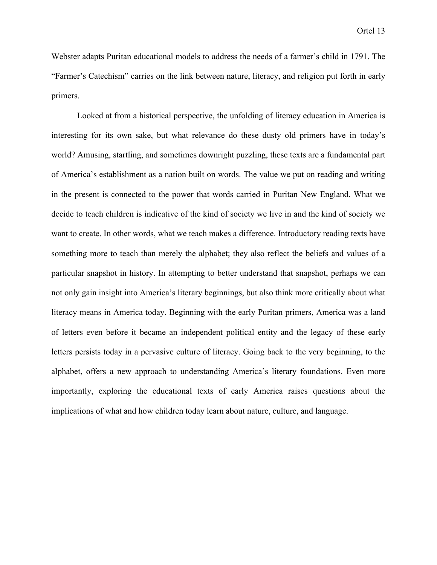Webster adapts Puritan educational models to address the needs of a farmer's child in 1791. The "Farmer's Catechism" carries on the link between nature, literacy, and religion put forth in early primers.

Looked at from a historical perspective, the unfolding of literacy education in America is interesting for its own sake, but what relevance do these dusty old primers have in today's world? Amusing, startling, and sometimes downright puzzling, these texts are a fundamental part of America's establishment as a nation built on words. The value we put on reading and writing in the present is connected to the power that words carried in Puritan New England. What we decide to teach children is indicative of the kind of society we live in and the kind of society we want to create. In other words, what we teach makes a difference. Introductory reading texts have something more to teach than merely the alphabet; they also reflect the beliefs and values of a particular snapshot in history. In attempting to better understand that snapshot, perhaps we can not only gain insight into America's literary beginnings, but also think more critically about what literacy means in America today. Beginning with the early Puritan primers, America was a land of letters even before it became an independent political entity and the legacy of these early letters persists today in a pervasive culture of literacy. Going back to the very beginning, to the alphabet, offers a new approach to understanding America's literary foundations. Even more importantly, exploring the educational texts of early America raises questions about the implications of what and how children today learn about nature, culture, and language.